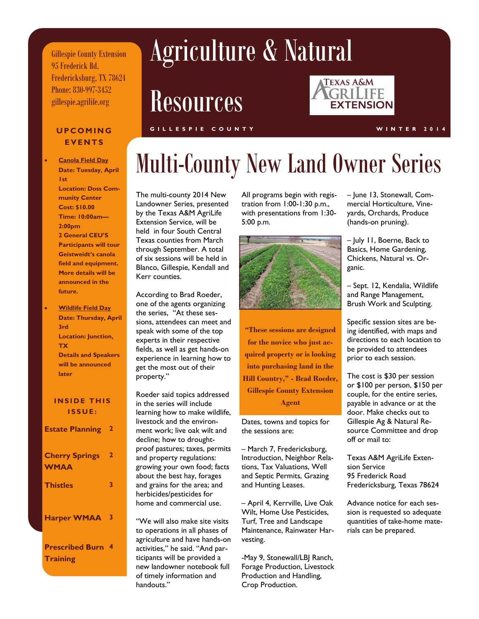Gillespie County Extension 95 Frederick Rd. Fredericksburg, TX 78624 Phone: 830-997-3452 gillespie.agrilife.org

# Agriculture & Natural

Resources



### **EVENTS**

- **Canola Field Day Date: Tuesday, April 1st Location: Doss Community Center Cost: \$10.00 Time: 10:00am— 2:00pm 2 General CEU'S Participants will tour Geistweidt's canola field and equipment. More details will be announced in the future.**
- **Wildlife Field Day Date: Thursday, April 3rd Location: Junction, TX Details and Speakers will be announced later**

### **INSIDE THIS ISSUE:**

| <b>Estate Planning 2</b>                    |              |
|---------------------------------------------|--------------|
| <b>Cherry Springs</b><br><b>WMAA</b>        | $\mathbf{2}$ |
| <b>Thistles</b>                             | 3            |
| Harper WMAA 3                               |              |
| <b>Prescribed Burn 4</b><br><b>Training</b> |              |

#### **UPCOMING GILLESPIE COUNTY WINTER 2014**

## Multi-County New Land Owner Series

The multi-county 2014 New Landowner Series, presented by the Texas A&M AgriLife Extension Service, will be held in four South Central Texas counties from March through September. A total of six sessions will be held in Blanco, Gillespie, Kendall and Kerr counties.

According to Brad Roeder, one of the agents organizing the series, "At these sessions, attendees can meet and speak with some of the top experts in their respective fields, as well as get hands-on experience in learning how to get the most out of their property."

Roeder said topics addressed in the series will include learning how to make wildlife, livestock and the environment work; live oak wilt and decline; how to droughtproof pastures; taxes, permits and property regulations: growing your own food; facts about the best hay, forages and grains for the area; and herbicides/pesticides for home and commercial use.

"We will also make site visits to operations in all phases of agriculture and have hands-on activities," he said. "And participants will be provided a new landowner notebook full of timely information and handouts."

All programs begin with registration from 1:00-1:30 p.m., with presentations from 1:30- 5:00 p.m.



**"These sessions are designed for the novice who just acquired property or is looking into purchasing land in the Hill Country," - Brad Roeder, Gillespie County Extension Agent** 

Dates, towns and topics for the sessions are:

– March 7, Fredericksburg, Introduction, Neighbor Relations, Tax Valuations, Well and Septic Permits, Grazing and Hunting Leases.

– April 4, Kerrville, Live Oak Wilt, Home Use Pesticides, Turf, Tree and Landscape Maintenance, Rainwater Harvesting.

-May 9, Stonewall/LBJ Ranch, Forage Production, Livestock Production and Handling, Crop Production.

– June 13, Stonewall, Commercial Horticulture, Vineyards, Orchards, Produce (hands-on pruning).

– July 11, Boerne, Back to Basics, Home Gardening, Chickens, Natural vs. Organic.

– Sept. 12, Kendalia, Wildlife and Range Management, Brush Work and Sculpting.

Specific session sites are being identified, with maps and directions to each location to be provided to attendees prior to each session.

The cost is \$30 per session or \$100 per person, \$150 per couple, for the entire series, payable in advance or at the door. Make checks out to Gillespie Ag & Natural Resource Committee and drop off or mail to:

Texas A&M AgriLife Extension Service 95 Frederick Road Fredericksburg, Texas 78624

Advance notice for each session is requested so adequate quantities of take-home materials can be prepared.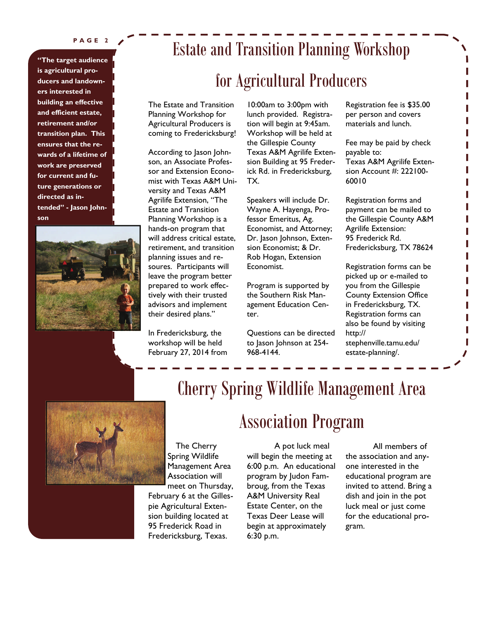#### **PAGE 2**

**"The target audience is agricultural producers and landowners interested in building an effective and efficient estate, retirement and/or transition plan. This ensures that the rewards of a lifetime of work are preserved for current and future generations or directed as intended" - Jason Johnson** 



### Estate and Transition Planning Workshop

### for Agricultural Producers

The Estate and Transition Planning Workshop for Agricultural Producers is coming to Fredericksburg!

According to Jason Johnson, an Associate Professor and Extension Economist with Texas A&M University and Texas A&M Agrilife Extension, "The Estate and Transition Planning Workshop is a hands-on program that will address critical estate, retirement, and transition planning issues and resoures. Participants will leave the program better prepared to work effectively with their trusted advisors and implement their desired plans."

In Fredericksburg, the workshop will be held February 27, 2014 from

10:00am to 3:00pm with lunch provided. Registration will begin at 9:45am. Workshop will be held at the Gillespie County Texas A&M Agrilife Extension Building at 95 Frederick Rd. in Fredericksburg, TX.

Speakers will include Dr. Wayne A. Hayenga, Professor Emeritus, Ag. Economist, and Attorney; Dr. Jason Johnson, Extension Economist; & Dr. Rob Hogan, Extension Economist.

Program is supported by the Southern Risk Management Education Center.

Questions can be directed to Jason Johnson at 254- 968-4144.

Registration fee is \$35.00 per person and covers materials and lunch.

Fee may be paid by check payable to: Texas A&M Agrilife Extension Account #: 222100- 60010

Registration forms and payment can be mailed to the Gillespie County A&M Agrilife Extension: 95 Frederick Rd. Fredericksburg, TX 78624

Registration forms can be picked up or e-mailed to you from the Gillespie County Extension Office in Fredericksburg, TX. Registration forms can also be found by visiting http:// stephenville.tamu.edu/ estate-planning/.



### Cherry Spring Wildlife Management Area

Association Program

The Cherry Spring Wildlife Management Area Association will meet on Thursday,

February 6 at the Gillespie Agricultural Extension building located at 95 Frederick Road in Fredericksburg, Texas.

A pot luck meal will begin the meeting at 6:00 p.m. An educational program by Judon Fambroug, from the Texas A&M University Real Estate Center, on the Texas Deer Lease will begin at approximately 6:30 p.m.

All members of the association and anyone interested in the educational program are invited to attend. Bring a dish and join in the pot luck meal or just come for the educational program.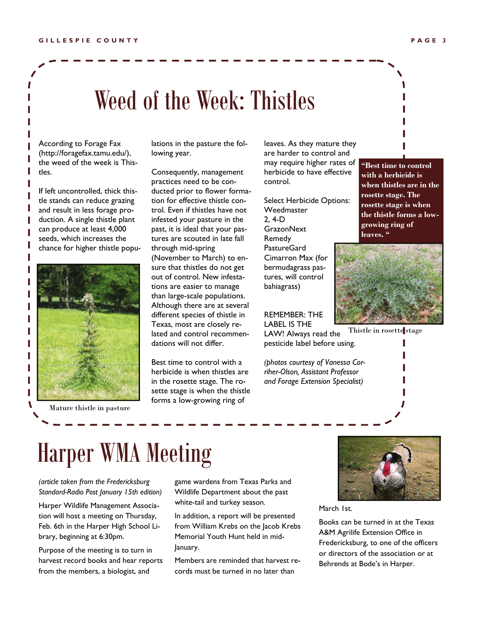## Weed of the Week: Thistles

According to Forage Fax (http://foragefax.tamu.edu/), the weed of the week is Thistles.

If left uncontrolled, thick thistle stands can reduce grazing and result in less forage production. A single thistle plant can produce at least 4,000 seeds, which increases the chance for higher thistle popu-



Mature thistle in pasture

lations in the pasture the following year.

Consequently, management practices need to be conducted prior to flower formation for effective thistle control. Even if thistles have not infested your pasture in the past, it is ideal that your pastures are scouted in late fall through mid-spring (November to March) to ensure that thistles do not get out of control. New infestations are easier to manage than large-scale populations. Although there are at several different species of thistle in Texas, most are closely related and control recommendations will not differ.

Best time to control with a herbicide is when thistles are in the rosette stage. The rosette stage is when the thistle forms a low-growing ring of

leaves. As they mature they are harder to control and may require higher rates of herbicide to have effective control.

Select Herbicide Options: Weedmaster 2, 4-D **GrazonNext** Remedy PastureGard Cimarron Max (for bermudagrass pastures, will control bahiagrass)

REMEMBER: THE LABEL IS THE

LAW! Always read the pesticide label before using.

*(photos courtesy of Vanessa Corriher-Olson, Assistant Professor and Forage Extension Specialist)* 







## Harper WMA Meeting

*(article taken from the Fredericksburg Standard-Radio Post January 15th edition)* 

Harper Wildlife Management Association will host a meeting on Thursday, Feb. 6th in the Harper High School Library, beginning at 6:30pm.

Purpose of the meeting is to turn in harvest record books and hear reports from the members, a biologist, and

game wardens from Texas Parks and Wildlife Department about the past white-tail and turkey season.

In addition, a report will be presented from William Krebs on the Jacob Krebs Memorial Youth Hunt held in mid-January.

Members are reminded that harvest records must be turned in no later than



March 1st.

Books can be turned in at the Texas A&M Agrilife Extension Office in Fredericksburg, to one of the officers or directors of the association or at Behrends at Bode's in Harper.